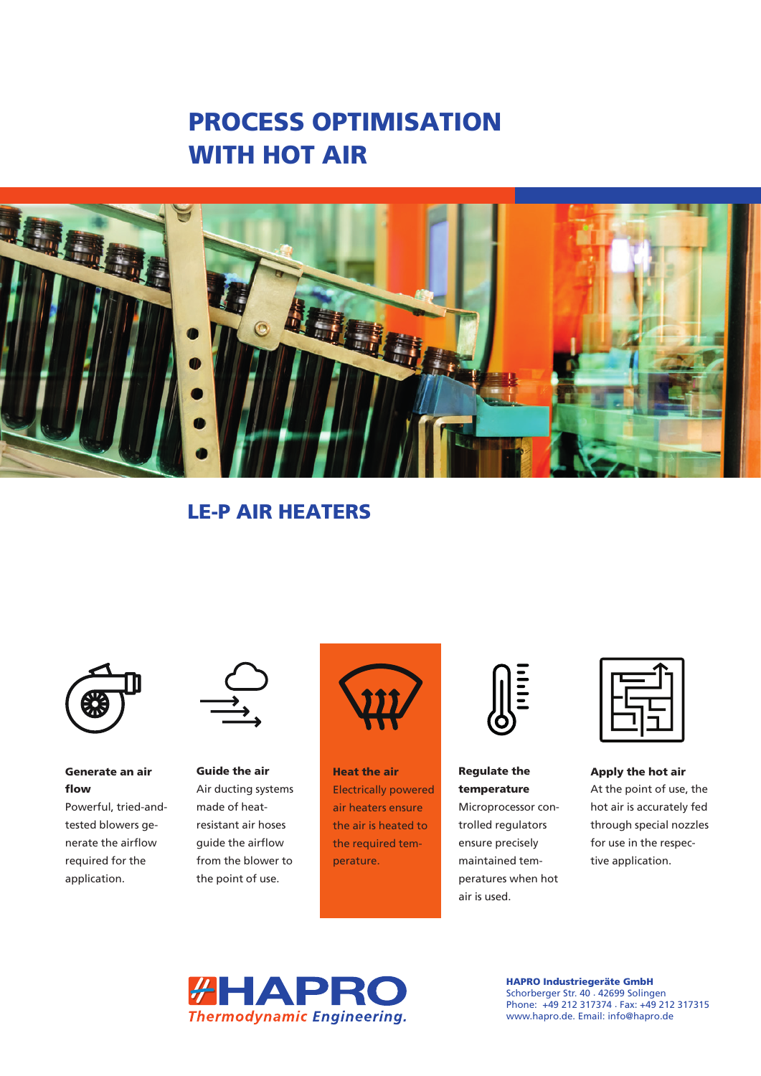



LE-P AIR HEATERS



Generate an air flow

Powerful, tried-andtested blowers generate the airflow required for the application.



Guide the air Air ducting systems made of heatresistant air hoses guide the airflow from the blower to the point of use.



Heat the air Electrically powered air heaters ensure the air is heated to the required temperature.



Regulate the temperature Microprocessor con-

trolled regulators ensure precisely maintained temperatures when hot air is used.

Apply the hot air At the point of use, the hot air is accurately fed through special nozzles for use in the respective application.



HAPRO Industriegeräte GmbH Schorberger Str. 40 . 42699 Solingen Phone: +49 212 317374 . Fax: +49 212 317315 www.hapro.de. Email: info@hapro.de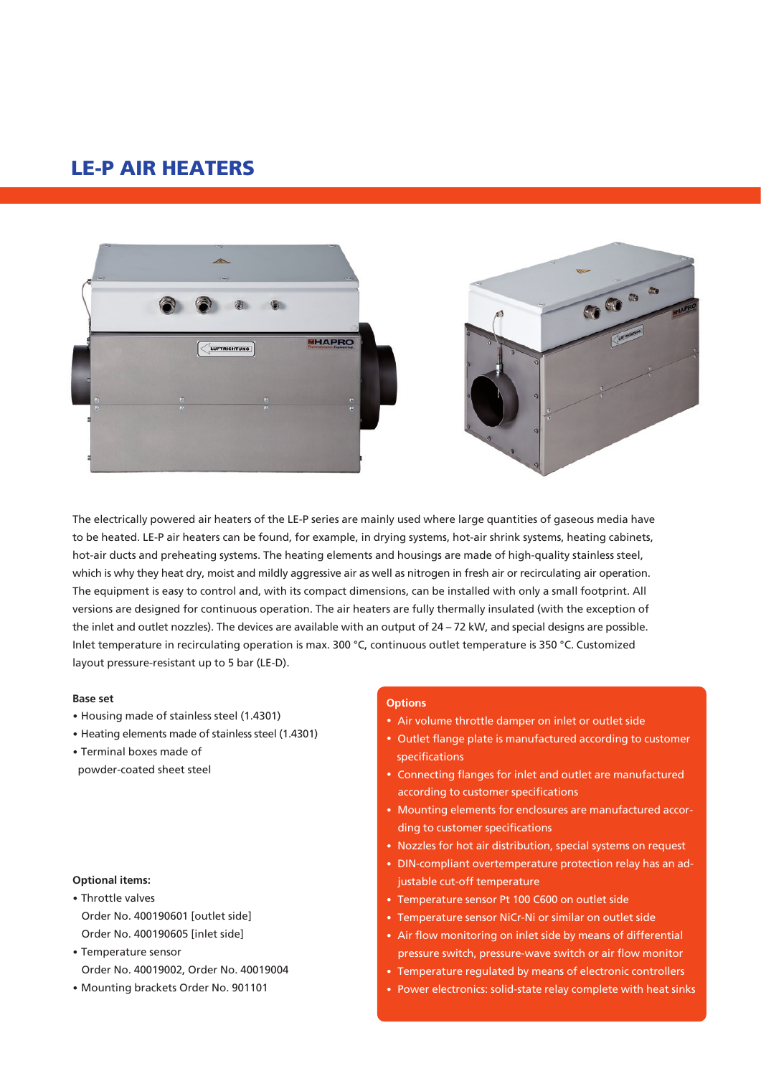# LE-P AIR HEATERS





The electrically powered air heaters of the LE-P series are mainly used where large quantities of gaseous media have to be heated. LE-P air heaters can be found, for example, in drying systems, hot-air shrink systems, heating cabinets, hot-air ducts and preheating systems. The heating elements and housings are made of high-quality stainless steel, which is why they heat dry, moist and mildly aggressive air as well as nitrogen in fresh air or recirculating air operation. The equipment is easy to control and, with its compact dimensions, can be installed with only a small footprint. All versions are designed for continuous operation. The air heaters are fully thermally insulated (with the exception of the inlet and outlet nozzles). The devices are available with an output of 24 – 72 kW, and special designs are possible. Inlet temperature in recirculating operation is max. 300 °C, continuous outlet temperature is 350 °C. Customized layout pressure-resistant up to 5 bar (LE-D).

#### **Base set**

- · Housing made of stainless steel (1.4301)
- · Heating elements made of stainless steel (1.4301)
- · Terminal boxes made of

powder-coated sheet steel

### **Optional items:**

- · Throttle valves Order No. 400190601 [outlet side] Order No. 400190605 [inlet side]
- · Temperature sensor Order No. 40019002, Order No. 40019004
- · Mounting brackets Order No. 901101

#### **Options**

- · Air volume throttle damper on inlet or outlet side
- · Outlet flange plate is manufactured according to customer specifications
- · Connecting flanges for inlet and outlet are manufactured according to customer specifications
- · Mounting elements for enclosures are manufactured according to customer specifications
- · Nozzles for hot air distribution, special systems on request
- · DIN-compliant overtemperature protection relay has an adjustable cut-off temperature
- · Temperature sensor Pt 100 C600 on outlet side
- · Temperature sensor NiCr-Ni or similar on outlet side
- · Air flow monitoring on inlet side by means of differential pressure switch, pressure-wave switch or air flow monitor
- · Temperature regulated by means of electronic controllers
- · Power electronics: solid-state relay complete with heat sinks